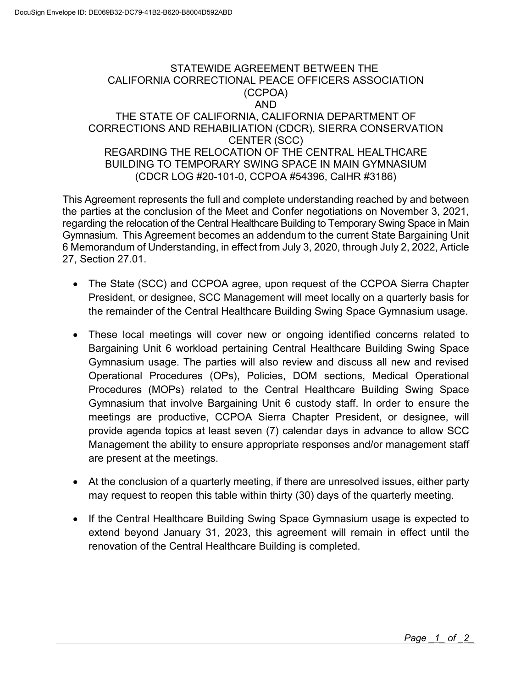## STATEWIDE AGREEMENT BETWEEN THE CALIFORNIA CORRECTIONAL PEACE OFFICERS ASSOCIATION (CCPOA) AND THE STATE OF CALIFORNIA, CALIFORNIA DEPARTMENT OF CORRECTIONS AND REHABILIATION (CDCR), SIERRA CONSERVATION CENTER (SCC) REGARDING THE RELOCATION OF THE CENTRAL HEALTHCARE BUILDING TO TEMPORARY SWING SPACE IN MAIN GYMNASIUM (CDCR LOG #20-101-0, CCPOA #54396, CalHR #3186)

 regarding the relocation of the Central Healthcare Building to Temporary Swing Space in Main This Agreement represents the full and complete understanding reached by and between the parties at the conclusion of the Meet and Confer negotiations on November 3, 2021, Gymnasium. This Agreement becomes an addendum to the current State Bargaining Unit 6 Memorandum of Understanding, in effect from July 3, 2020, through July 2, 2022, Article 27, Section 27.01.

- The State (SCC) and CCPOA agree, upon request of the CCPOA Sierra Chapter President, or designee, SCC Management will meet locally on a quarterly basis for the remainder of the Central Healthcare Building Swing Space Gymnasium usage.
- Management the ability to ensure appropriate responses and/or management staff These local meetings will cover new or ongoing identified concerns related to Bargaining Unit 6 workload pertaining Central Healthcare Building Swing Space Gymnasium usage. The parties will also review and discuss all new and revised Operational Procedures (OPs), Policies, DOM sections, Medical Operational Procedures (MOPs) related to the Central Healthcare Building Swing Space Gymnasium that involve Bargaining Unit 6 custody staff. In order to ensure the meetings are productive, CCPOA Sierra Chapter President, or designee, will provide agenda topics at least seven (7) calendar days in advance to allow SCC are present at the meetings.
- At the conclusion of a quarterly meeting, if there are unresolved issues, either party may request to reopen this table within thirty (30) days of the quarterly meeting.
- If the Central Healthcare Building Swing Space Gymnasium usage is expected to extend beyond January 31, 2023, this agreement will remain in effect until the renovation of the Central Healthcare Building is completed.